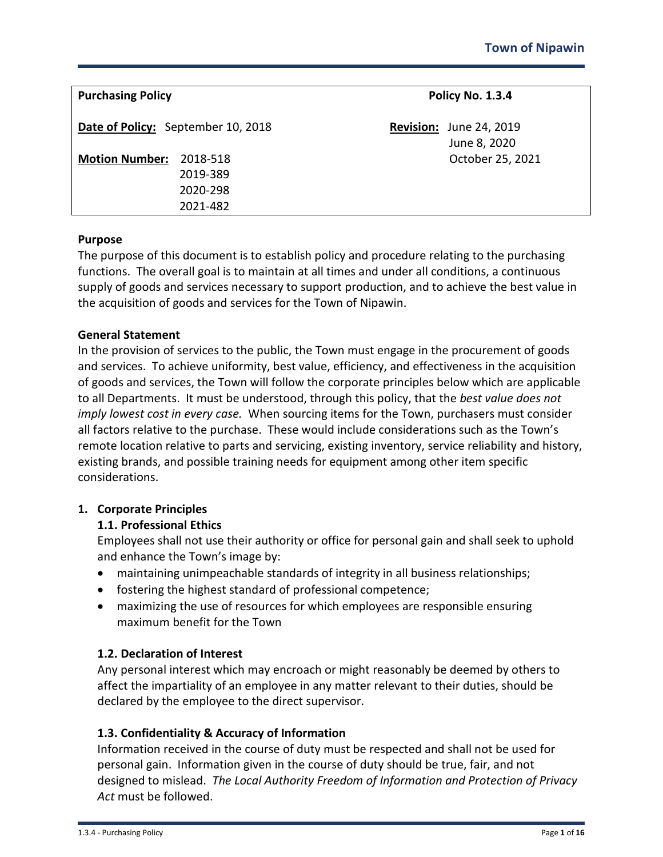| <b>Purchasing Policy</b>                                              | Policy No. 1.3.4                               |
|-----------------------------------------------------------------------|------------------------------------------------|
| Date of Policy: September 10, 2018                                    | <b>Revision: June 24, 2019</b><br>June 8, 2020 |
| <b>Motion Number:</b><br>2018-518<br>2019-389<br>2020-298<br>2021-482 | October 25, 2021                               |

#### **Purpose**

The purpose of this document is to establish policy and procedure relating to the purchasing functions. The overall goal is to maintain at all times and under all conditions, a continuous supply of goods and services necessary to support production, and to achieve the best value in the acquisition of goods and services for the Town of Nipawin.

#### **General Statement**

In the provision of services to the public, the Town must engage in the procurement of goods and services. To achieve uniformity, best value, efficiency, and effectiveness in the acquisition of goods and services, the Town will follow the corporate principles below which are applicable to all Departments. It must be understood, through this policy, that the *best value does not imply lowest cost in every case.* When sourcing items for the Town, purchasers must consider all factors relative to the purchase. These would include considerations such as the Town's remote location relative to parts and servicing, existing inventory, service reliability and history, existing brands, and possible training needs for equipment among other item specific considerations.

## **1. Corporate Principles**

## **1.1. Professional Ethics**

Employees shall not use their authority or office for personal gain and shall seek to uphold and enhance the Town's image by:

- maintaining unimpeachable standards of integrity in all business relationships;
- fostering the highest standard of professional competence;
- maximizing the use of resources for which employees are responsible ensuring maximum benefit for the Town

## **1.2. Declaration of Interest**

Any personal interest which may encroach or might reasonably be deemed by others to affect the impartiality of an employee in any matter relevant to their duties, should be declared by the employee to the direct supervisor.

## **1.3. Confidentiality & Accuracy of Information**

Information received in the course of duty must be respected and shall not be used for personal gain. Information given in the course of duty should be true, fair, and not designed to mislead. *The Local Authority Freedom of Information and Protection of Privacy Act* must be followed.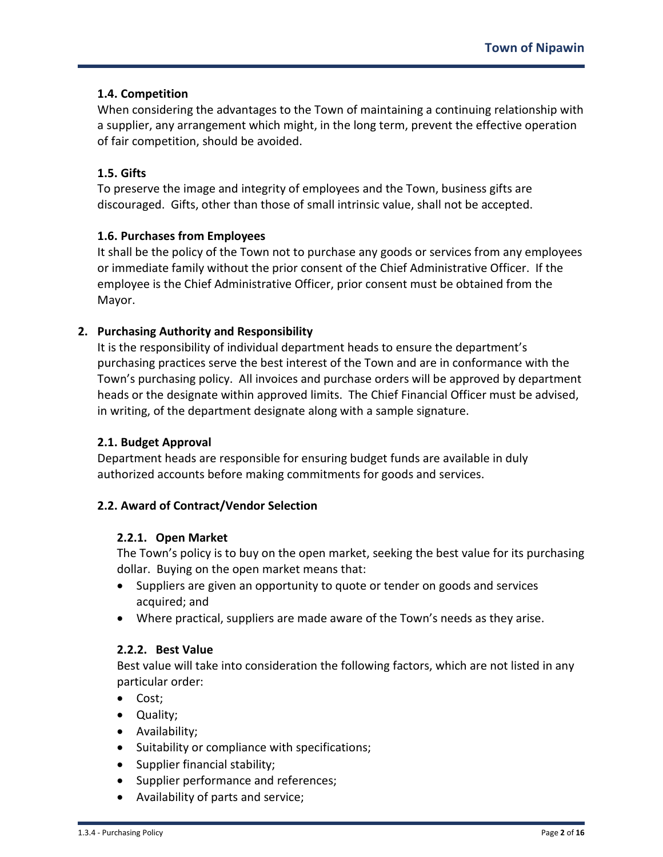## **1.4. Competition**

When considering the advantages to the Town of maintaining a continuing relationship with a supplier, any arrangement which might, in the long term, prevent the effective operation of fair competition, should be avoided.

## **1.5. Gifts**

To preserve the image and integrity of employees and the Town, business gifts are discouraged. Gifts, other than those of small intrinsic value, shall not be accepted.

# **1.6. Purchases from Employees**

It shall be the policy of the Town not to purchase any goods or services from any employees or immediate family without the prior consent of the Chief Administrative Officer. If the employee is the Chief Administrative Officer, prior consent must be obtained from the Mayor.

# **2. Purchasing Authority and Responsibility**

It is the responsibility of individual department heads to ensure the department's purchasing practices serve the best interest of the Town and are in conformance with the Town's purchasing policy. All invoices and purchase orders will be approved by department heads or the designate within approved limits. The Chief Financial Officer must be advised, in writing, of the department designate along with a sample signature.

## **2.1. Budget Approval**

Department heads are responsible for ensuring budget funds are available in duly authorized accounts before making commitments for goods and services.

## **2.2. Award of Contract/Vendor Selection**

## **2.2.1. Open Market**

The Town's policy is to buy on the open market, seeking the best value for its purchasing dollar. Buying on the open market means that:

- Suppliers are given an opportunity to quote or tender on goods and services acquired; and
- Where practical, suppliers are made aware of the Town's needs as they arise.

## **2.2.2. Best Value**

Best value will take into consideration the following factors, which are not listed in any particular order:

- Cost;
- Quality;
- Availability;
- Suitability or compliance with specifications;
- Supplier financial stability;
- Supplier performance and references;
- Availability of parts and service;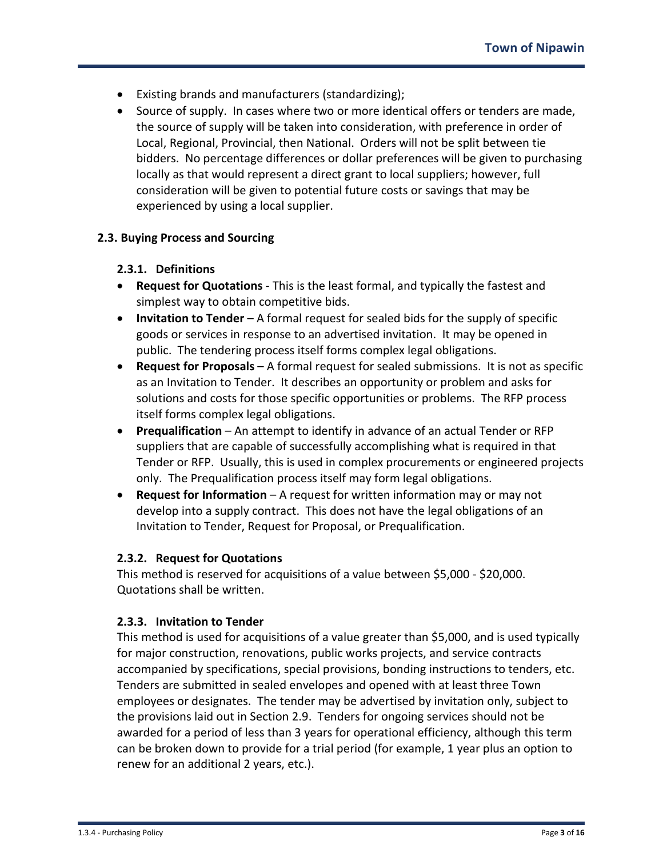- Existing brands and manufacturers (standardizing);
- Source of supply. In cases where two or more identical offers or tenders are made, the source of supply will be taken into consideration, with preference in order of Local, Regional, Provincial, then National. Orders will not be split between tie bidders. No percentage differences or dollar preferences will be given to purchasing locally as that would represent a direct grant to local suppliers; however, full consideration will be given to potential future costs or savings that may be experienced by using a local supplier.

#### **2.3. Buying Process and Sourcing**

#### **2.3.1. Definitions**

- **Request for Quotations** This is the least formal, and typically the fastest and simplest way to obtain competitive bids.
- **Invitation to Tender** A formal request for sealed bids for the supply of specific goods or services in response to an advertised invitation. It may be opened in public. The tendering process itself forms complex legal obligations.
- **Request for Proposals** A formal request for sealed submissions. It is not as specific as an Invitation to Tender. It describes an opportunity or problem and asks for solutions and costs for those specific opportunities or problems. The RFP process itself forms complex legal obligations.
- **Prequalification** An attempt to identify in advance of an actual Tender or RFP suppliers that are capable of successfully accomplishing what is required in that Tender or RFP. Usually, this is used in complex procurements or engineered projects only. The Prequalification process itself may form legal obligations.
- **Request for Information** A request for written information may or may not develop into a supply contract. This does not have the legal obligations of an Invitation to Tender, Request for Proposal, or Prequalification.

#### **2.3.2. Request for Quotations**

This method is reserved for acquisitions of a value between \$5,000 - \$20,000. Quotations shall be written.

#### **2.3.3. Invitation to Tender**

This method is used for acquisitions of a value greater than \$5,000, and is used typically for major construction, renovations, public works projects, and service contracts accompanied by specifications, special provisions, bonding instructions to tenders, etc. Tenders are submitted in sealed envelopes and opened with at least three Town employees or designates. The tender may be advertised by invitation only, subject to the provisions laid out in Section 2.9. Tenders for ongoing services should not be awarded for a period of less than 3 years for operational efficiency, although this term can be broken down to provide for a trial period (for example, 1 year plus an option to renew for an additional 2 years, etc.).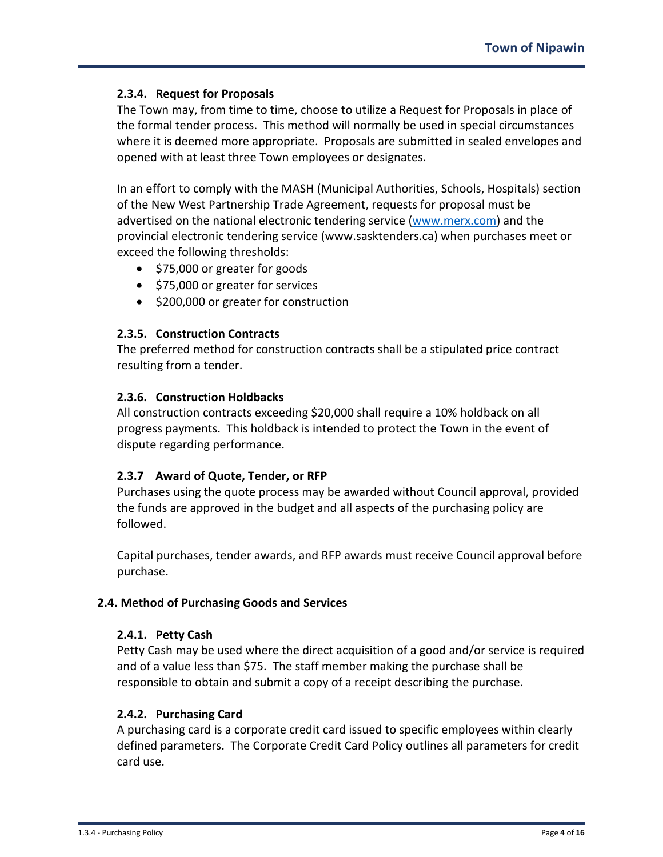## **2.3.4. Request for Proposals**

The Town may, from time to time, choose to utilize a Request for Proposals in place of the formal tender process. This method will normally be used in special circumstances where it is deemed more appropriate. Proposals are submitted in sealed envelopes and opened with at least three Town employees or designates.

In an effort to comply with the MASH (Municipal Authorities, Schools, Hospitals) section of the New West Partnership Trade Agreement, requests for proposal must be advertised on the national electronic tendering service [\(www.merx.com\)](http://www.merx.com/) and the provincial electronic tendering service (www.sasktenders.ca) when purchases meet or exceed the following thresholds:

- \$75,000 or greater for goods
- \$75,000 or greater for services
- \$200,000 or greater for construction

## **2.3.5. Construction Contracts**

The preferred method for construction contracts shall be a stipulated price contract resulting from a tender.

#### **2.3.6. Construction Holdbacks**

All construction contracts exceeding \$20,000 shall require a 10% holdback on all progress payments. This holdback is intended to protect the Town in the event of dispute regarding performance.

## **2.3.7 Award of Quote, Tender, or RFP**

Purchases using the quote process may be awarded without Council approval, provided the funds are approved in the budget and all aspects of the purchasing policy are followed.

Capital purchases, tender awards, and RFP awards must receive Council approval before purchase.

## **2.4. Method of Purchasing Goods and Services**

#### **2.4.1. Petty Cash**

Petty Cash may be used where the direct acquisition of a good and/or service is required and of a value less than \$75. The staff member making the purchase shall be responsible to obtain and submit a copy of a receipt describing the purchase.

## **2.4.2. Purchasing Card**

A purchasing card is a corporate credit card issued to specific employees within clearly defined parameters. The Corporate Credit Card Policy outlines all parameters for credit card use.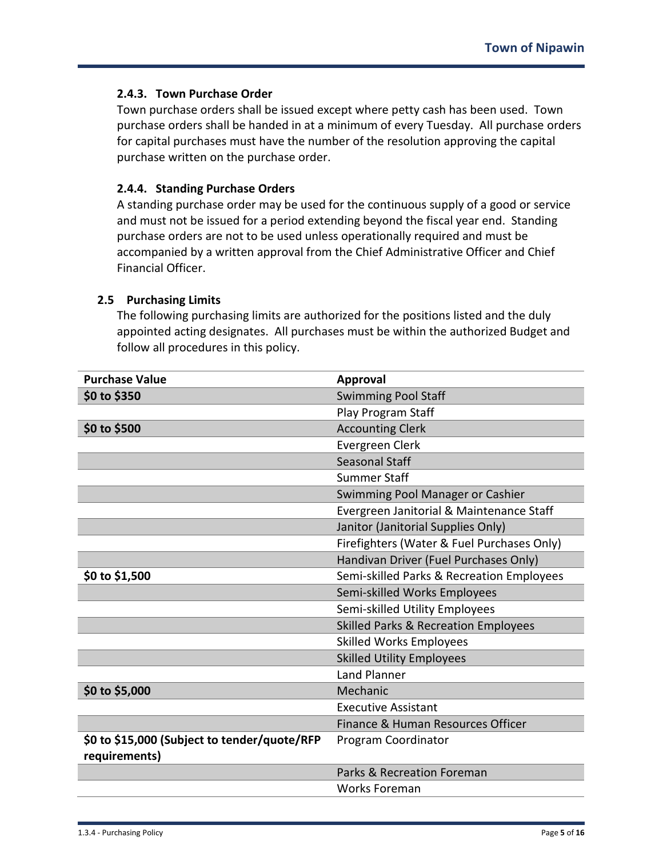## **2.4.3. Town Purchase Order**

Town purchase orders shall be issued except where petty cash has been used. Town purchase orders shall be handed in at a minimum of every Tuesday. All purchase orders for capital purchases must have the number of the resolution approving the capital purchase written on the purchase order.

#### **2.4.4. Standing Purchase Orders**

A standing purchase order may be used for the continuous supply of a good or service and must not be issued for a period extending beyond the fiscal year end. Standing purchase orders are not to be used unless operationally required and must be accompanied by a written approval from the Chief Administrative Officer and Chief Financial Officer.

#### **2.5 Purchasing Limits**

The following purchasing limits are authorized for the positions listed and the duly appointed acting designates. All purchases must be within the authorized Budget and follow all procedures in this policy.

| <b>Purchase Value</b>                        | <b>Approval</b>                                 |
|----------------------------------------------|-------------------------------------------------|
| \$0 to \$350                                 | <b>Swimming Pool Staff</b>                      |
|                                              | Play Program Staff                              |
| \$0 to \$500                                 | <b>Accounting Clerk</b>                         |
|                                              | Evergreen Clerk                                 |
|                                              | Seasonal Staff                                  |
|                                              | <b>Summer Staff</b>                             |
|                                              | Swimming Pool Manager or Cashier                |
|                                              | Evergreen Janitorial & Maintenance Staff        |
|                                              | Janitor (Janitorial Supplies Only)              |
|                                              | Firefighters (Water & Fuel Purchases Only)      |
|                                              | Handivan Driver (Fuel Purchases Only)           |
| \$0 to \$1,500                               | Semi-skilled Parks & Recreation Employees       |
|                                              | Semi-skilled Works Employees                    |
|                                              | Semi-skilled Utility Employees                  |
|                                              | <b>Skilled Parks &amp; Recreation Employees</b> |
|                                              | <b>Skilled Works Employees</b>                  |
|                                              | <b>Skilled Utility Employees</b>                |
|                                              | <b>Land Planner</b>                             |
| \$0 to \$5,000                               | Mechanic                                        |
|                                              | <b>Executive Assistant</b>                      |
|                                              | Finance & Human Resources Officer               |
| \$0 to \$15,000 (Subject to tender/quote/RFP | Program Coordinator                             |
| requirements)                                |                                                 |
|                                              | Parks & Recreation Foreman                      |
|                                              | <b>Works Foreman</b>                            |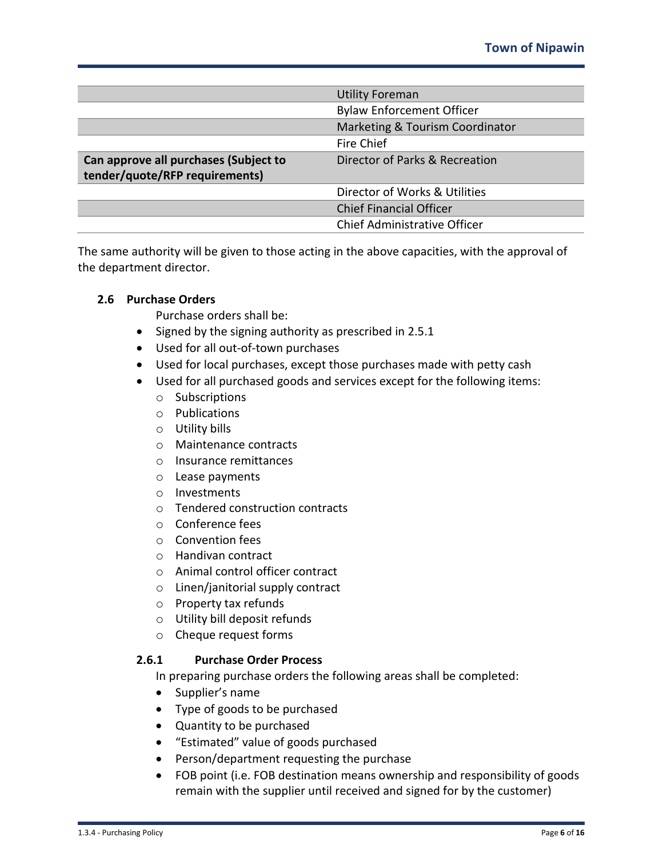|                                       | <b>Utility Foreman</b>              |
|---------------------------------------|-------------------------------------|
|                                       | <b>Bylaw Enforcement Officer</b>    |
|                                       | Marketing & Tourism Coordinator     |
|                                       | Fire Chief                          |
| Can approve all purchases (Subject to | Director of Parks & Recreation      |
| tender/quote/RFP requirements)        |                                     |
|                                       | Director of Works & Utilities       |
|                                       | <b>Chief Financial Officer</b>      |
|                                       | <b>Chief Administrative Officer</b> |

The same authority will be given to those acting in the above capacities, with the approval of the department director.

## **2.6 Purchase Orders**

Purchase orders shall be:

- Signed by the signing authority as prescribed in 2.5.1
- Used for all out-of-town purchases
- Used for local purchases, except those purchases made with petty cash
- Used for all purchased goods and services except for the following items:
	- o Subscriptions
	- o Publications
	- o Utility bills
	- o Maintenance contracts
	- o Insurance remittances
	- o Lease payments
	- o Investments
	- o Tendered construction contracts
	- o Conference fees
	- o Convention fees
	- o Handivan contract
	- o Animal control officer contract
	- o Linen/janitorial supply contract
	- o Property tax refunds
	- o Utility bill deposit refunds
	- o Cheque request forms

## **2.6.1 Purchase Order Process**

In preparing purchase orders the following areas shall be completed:

- Supplier's name
- Type of goods to be purchased
- Quantity to be purchased
- "Estimated" value of goods purchased
- Person/department requesting the purchase
- FOB point (i.e. FOB destination means ownership and responsibility of goods remain with the supplier until received and signed for by the customer)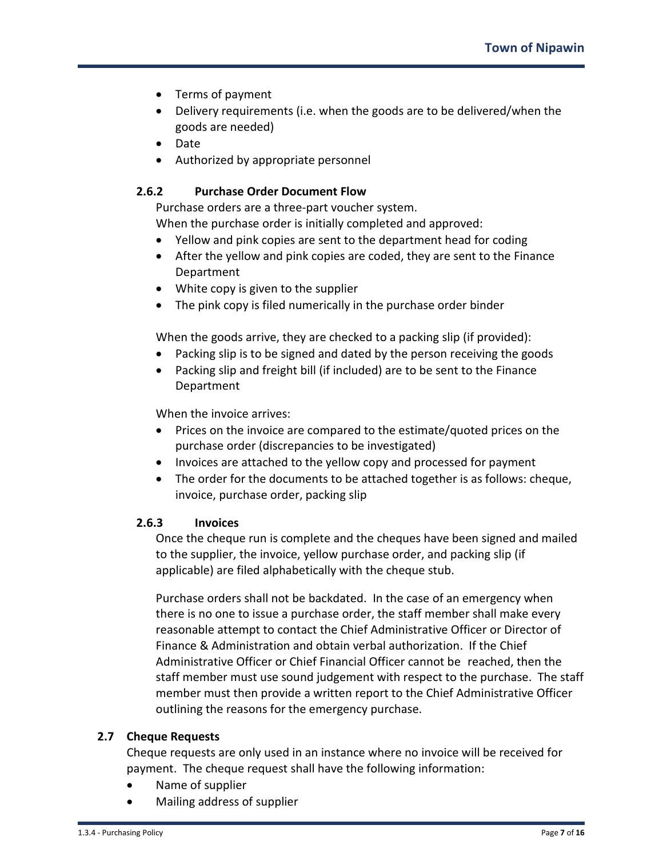- Terms of payment
- Delivery requirements (i.e. when the goods are to be delivered/when the goods are needed)
- Date
- Authorized by appropriate personnel

## **2.6.2 Purchase Order Document Flow**

Purchase orders are a three-part voucher system.

When the purchase order is initially completed and approved:

- Yellow and pink copies are sent to the department head for coding
- After the yellow and pink copies are coded, they are sent to the Finance Department
- White copy is given to the supplier
- The pink copy is filed numerically in the purchase order binder

When the goods arrive, they are checked to a packing slip (if provided):

- Packing slip is to be signed and dated by the person receiving the goods
- Packing slip and freight bill (if included) are to be sent to the Finance Department

When the invoice arrives:

- Prices on the invoice are compared to the estimate/quoted prices on the purchase order (discrepancies to be investigated)
- Invoices are attached to the yellow copy and processed for payment
- The order for the documents to be attached together is as follows: cheque, invoice, purchase order, packing slip

## **2.6.3 Invoices**

Once the cheque run is complete and the cheques have been signed and mailed to the supplier, the invoice, yellow purchase order, and packing slip (if applicable) are filed alphabetically with the cheque stub.

Purchase orders shall not be backdated. In the case of an emergency when there is no one to issue a purchase order, the staff member shall make every reasonable attempt to contact the Chief Administrative Officer or Director of Finance & Administration and obtain verbal authorization. If the Chief Administrative Officer or Chief Financial Officer cannot be reached, then the staff member must use sound judgement with respect to the purchase. The staff member must then provide a written report to the Chief Administrative Officer outlining the reasons for the emergency purchase.

## **2.7 Cheque Requests**

Cheque requests are only used in an instance where no invoice will be received for payment. The cheque request shall have the following information:

- Name of supplier
- Mailing address of supplier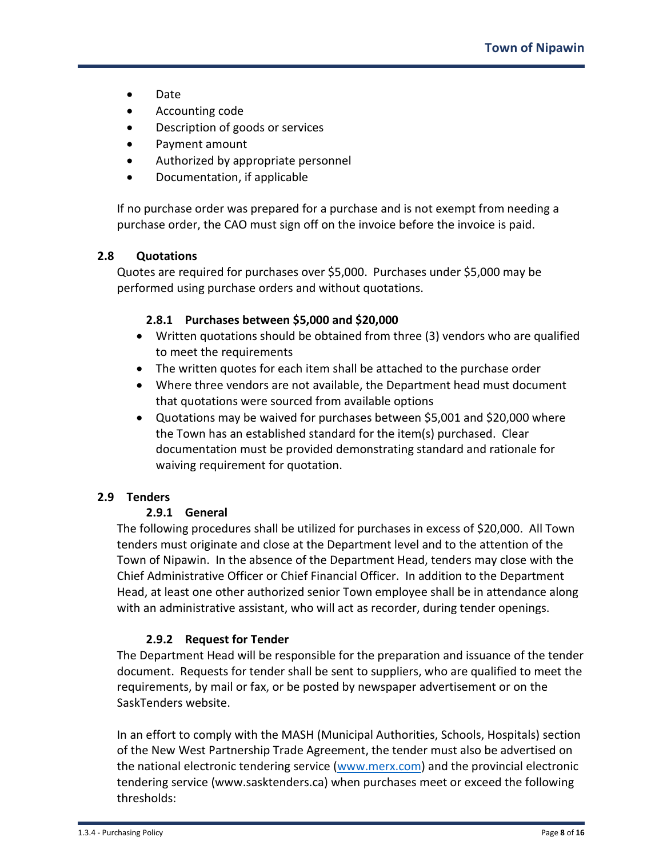- Date
- Accounting code
- Description of goods or services
- Payment amount
- Authorized by appropriate personnel
- Documentation, if applicable

If no purchase order was prepared for a purchase and is not exempt from needing a purchase order, the CAO must sign off on the invoice before the invoice is paid.

# **2.8 Quotations**

Quotes are required for purchases over \$5,000. Purchases under \$5,000 may be performed using purchase orders and without quotations.

## **2.8.1 Purchases between \$5,000 and \$20,000**

- Written quotations should be obtained from three (3) vendors who are qualified to meet the requirements
- The written quotes for each item shall be attached to the purchase order
- Where three vendors are not available, the Department head must document that quotations were sourced from available options
- Quotations may be waived for purchases between \$5,001 and \$20,000 where the Town has an established standard for the item(s) purchased. Clear documentation must be provided demonstrating standard and rationale for waiving requirement for quotation.

# **2.9 Tenders**

## **2.9.1 General**

The following procedures shall be utilized for purchases in excess of \$20,000. All Town tenders must originate and close at the Department level and to the attention of the Town of Nipawin. In the absence of the Department Head, tenders may close with the Chief Administrative Officer or Chief Financial Officer. In addition to the Department Head, at least one other authorized senior Town employee shall be in attendance along with an administrative assistant, who will act as recorder, during tender openings.

## **2.9.2 Request for Tender**

The Department Head will be responsible for the preparation and issuance of the tender document. Requests for tender shall be sent to suppliers, who are qualified to meet the requirements, by mail or fax, or be posted by newspaper advertisement or on the SaskTenders website.

In an effort to comply with the MASH (Municipal Authorities, Schools, Hospitals) section of the New West Partnership Trade Agreement, the tender must also be advertised on the national electronic tendering service [\(www.merx.com\)](http://www.merx.com/) and the provincial electronic tendering service (www.sasktenders.ca) when purchases meet or exceed the following thresholds: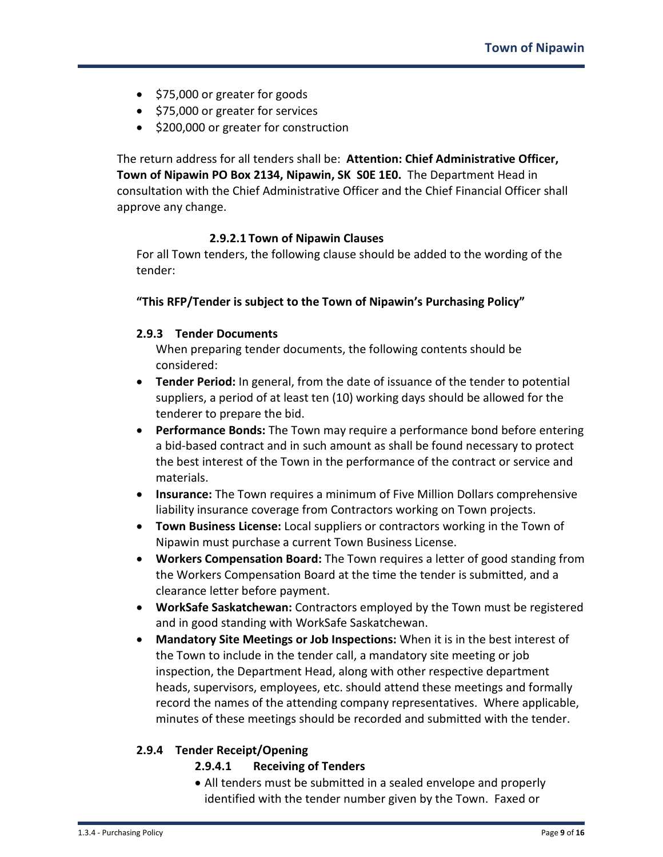- \$75,000 or greater for goods
- \$75,000 or greater for services
- \$200,000 or greater for construction

The return address for all tenders shall be: **Attention: Chief Administrative Officer, Town of Nipawin PO Box 2134, Nipawin, SK S0E 1E0.** The Department Head in consultation with the Chief Administrative Officer and the Chief Financial Officer shall approve any change.

#### **2.9.2.1 Town of Nipawin Clauses**

For all Town tenders, the following clause should be added to the wording of the tender:

#### **"This RFP/Tender is subject to the Town of Nipawin's Purchasing Policy"**

#### **2.9.3 Tender Documents**

When preparing tender documents, the following contents should be considered:

- **Tender Period:** In general, from the date of issuance of the tender to potential suppliers, a period of at least ten (10) working days should be allowed for the tenderer to prepare the bid.
- **Performance Bonds:** The Town may require a performance bond before entering a bid-based contract and in such amount as shall be found necessary to protect the best interest of the Town in the performance of the contract or service and materials.
- **Insurance:** The Town requires a minimum of Five Million Dollars comprehensive liability insurance coverage from Contractors working on Town projects.
- **Town Business License:** Local suppliers or contractors working in the Town of Nipawin must purchase a current Town Business License.
- **Workers Compensation Board:** The Town requires a letter of good standing from the Workers Compensation Board at the time the tender is submitted, and a clearance letter before payment.
- **WorkSafe Saskatchewan:** Contractors employed by the Town must be registered and in good standing with WorkSafe Saskatchewan.
- **Mandatory Site Meetings or Job Inspections:** When it is in the best interest of the Town to include in the tender call, a mandatory site meeting or job inspection, the Department Head, along with other respective department heads, supervisors, employees, etc. should attend these meetings and formally record the names of the attending company representatives. Where applicable, minutes of these meetings should be recorded and submitted with the tender.

## **2.9.4 Tender Receipt/Opening**

- **2.9.4.1 Receiving of Tenders**
- All tenders must be submitted in a sealed envelope and properly identified with the tender number given by the Town. Faxed or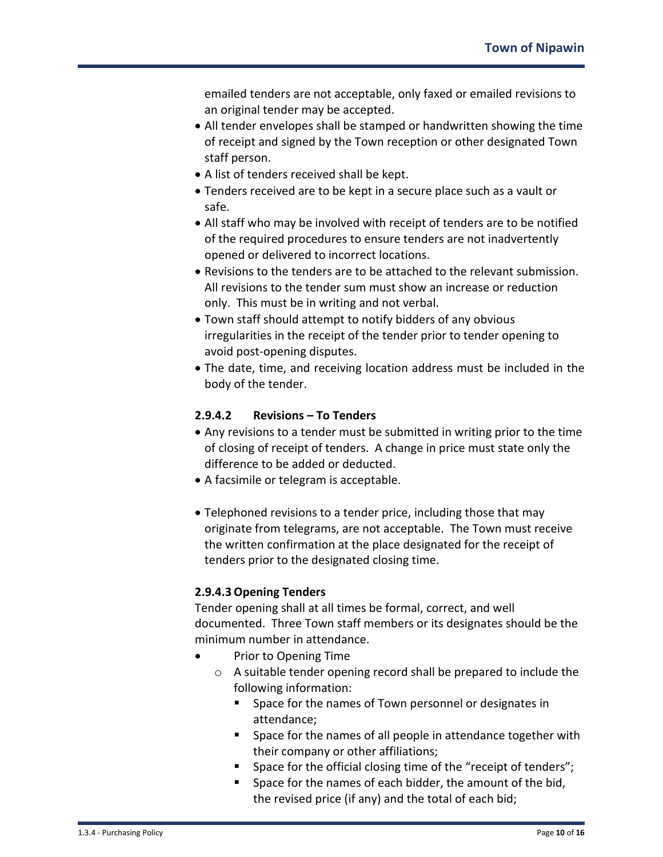emailed tenders are not acceptable, only faxed or emailed revisions to an original tender may be accepted.

- All tender envelopes shall be stamped or handwritten showing the time of receipt and signed by the Town reception or other designated Town staff person.
- A list of tenders received shall be kept.
- Tenders received are to be kept in a secure place such as a vault or safe.
- All staff who may be involved with receipt of tenders are to be notified of the required procedures to ensure tenders are not inadvertently opened or delivered to incorrect locations.
- Revisions to the tenders are to be attached to the relevant submission. All revisions to the tender sum must show an increase or reduction only. This must be in writing and not verbal.
- Town staff should attempt to notify bidders of any obvious irregularities in the receipt of the tender prior to tender opening to avoid post-opening disputes.
- The date, time, and receiving location address must be included in the body of the tender.

# **2.9.4.2 Revisions – To Tenders**

- Any revisions to a tender must be submitted in writing prior to the time of closing of receipt of tenders. A change in price must state only the difference to be added or deducted.
- A facsimile or telegram is acceptable.
- Telephoned revisions to a tender price, including those that may originate from telegrams, are not acceptable. The Town must receive the written confirmation at the place designated for the receipt of tenders prior to the designated closing time.

# **2.9.4.3Opening Tenders**

Tender opening shall at all times be formal, correct, and well documented. Three Town staff members or its designates should be the minimum number in attendance.

- Prior to Opening Time
	- o A suitable tender opening record shall be prepared to include the following information:
		- **Space for the names of Town personnel or designates in** attendance;
		- **Space for the names of all people in attendance together with** their company or other affiliations;
		- Space for the official closing time of the "receipt of tenders";
		- **Space for the names of each bidder, the amount of the bid,** the revised price (if any) and the total of each bid;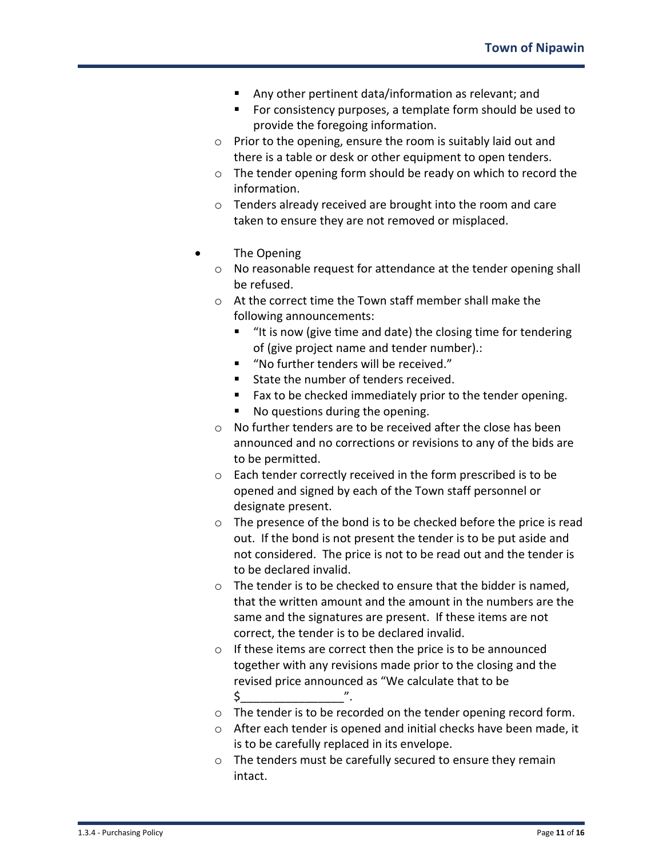- Any other pertinent data/information as relevant; and
- **For consistency purposes, a template form should be used to** provide the foregoing information.
- o Prior to the opening, ensure the room is suitably laid out and there is a table or desk or other equipment to open tenders.
- o The tender opening form should be ready on which to record the information.
- o Tenders already received are brought into the room and care taken to ensure they are not removed or misplaced.
- The Opening
	- o No reasonable request for attendance at the tender opening shall be refused.
	- o At the correct time the Town staff member shall make the following announcements:
		- "It is now (give time and date) the closing time for tendering of (give project name and tender number).:
		- "No further tenders will be received."
		- State the number of tenders received.
		- Fax to be checked immediately prior to the tender opening.
		- No questions during the opening.
	- o No further tenders are to be received after the close has been announced and no corrections or revisions to any of the bids are to be permitted.
	- o Each tender correctly received in the form prescribed is to be opened and signed by each of the Town staff personnel or designate present.
	- o The presence of the bond is to be checked before the price is read out. If the bond is not present the tender is to be put aside and not considered. The price is not to be read out and the tender is to be declared invalid.
	- $\circ$  The tender is to be checked to ensure that the bidder is named. that the written amount and the amount in the numbers are the same and the signatures are present. If these items are not correct, the tender is to be declared invalid.
	- o If these items are correct then the price is to be announced together with any revisions made prior to the closing and the revised price announced as "We calculate that to be \$\_\_\_\_\_\_\_\_\_\_\_\_\_\_\_\_".
	- o The tender is to be recorded on the tender opening record form.
	- o After each tender is opened and initial checks have been made, it is to be carefully replaced in its envelope.
	- o The tenders must be carefully secured to ensure they remain intact.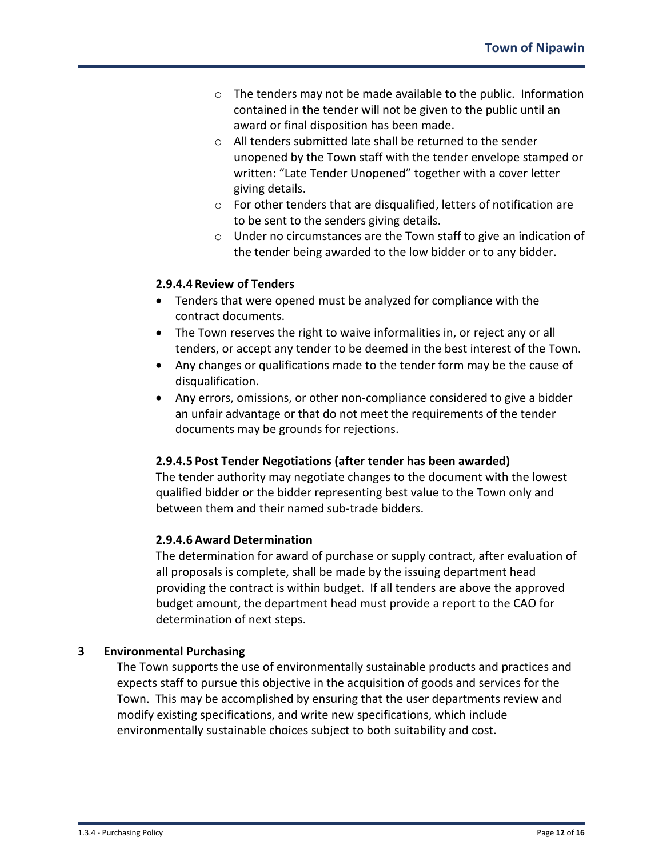- o The tenders may not be made available to the public. Information contained in the tender will not be given to the public until an award or final disposition has been made.
- o All tenders submitted late shall be returned to the sender unopened by the Town staff with the tender envelope stamped or written: "Late Tender Unopened" together with a cover letter giving details.
- o For other tenders that are disqualified, letters of notification are to be sent to the senders giving details.
- o Under no circumstances are the Town staff to give an indication of the tender being awarded to the low bidder or to any bidder.

# **2.9.4.4 Review of Tenders**

- Tenders that were opened must be analyzed for compliance with the contract documents.
- The Town reserves the right to waive informalities in, or reject any or all tenders, or accept any tender to be deemed in the best interest of the Town.
- Any changes or qualifications made to the tender form may be the cause of disqualification.
- Any errors, omissions, or other non-compliance considered to give a bidder an unfair advantage or that do not meet the requirements of the tender documents may be grounds for rejections.

# **2.9.4.5 Post Tender Negotiations (after tender has been awarded)**

The tender authority may negotiate changes to the document with the lowest qualified bidder or the bidder representing best value to the Town only and between them and their named sub-trade bidders.

## **2.9.4.6 Award Determination**

The determination for award of purchase or supply contract, after evaluation of all proposals is complete, shall be made by the issuing department head providing the contract is within budget. If all tenders are above the approved budget amount, the department head must provide a report to the CAO for determination of next steps.

# **3 Environmental Purchasing**

The Town supports the use of environmentally sustainable products and practices and expects staff to pursue this objective in the acquisition of goods and services for the Town. This may be accomplished by ensuring that the user departments review and modify existing specifications, and write new specifications, which include environmentally sustainable choices subject to both suitability and cost.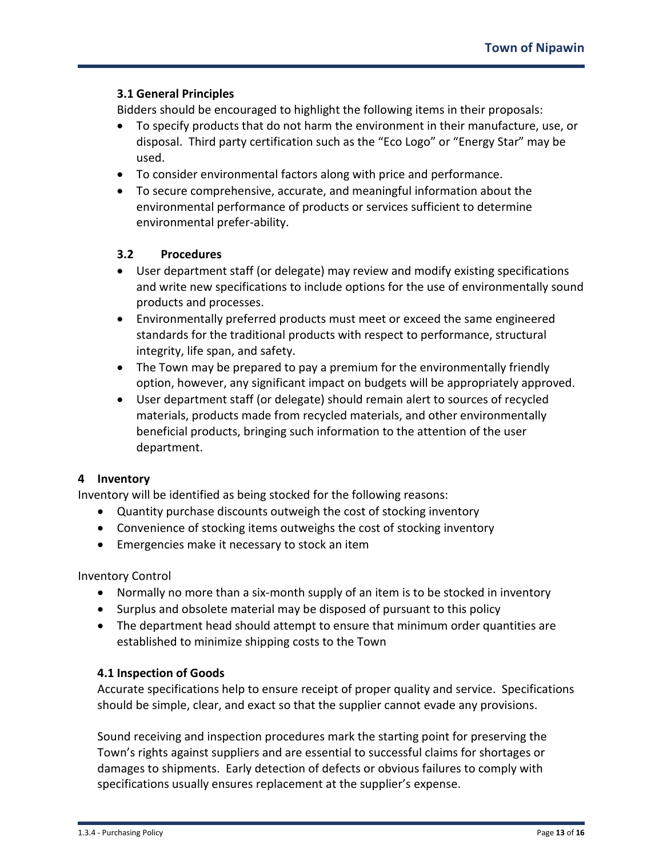#### **3.1 General Principles**

Bidders should be encouraged to highlight the following items in their proposals:

- To specify products that do not harm the environment in their manufacture, use, or disposal. Third party certification such as the "Eco Logo" or "Energy Star" may be used.
- To consider environmental factors along with price and performance.
- To secure comprehensive, accurate, and meaningful information about the environmental performance of products or services sufficient to determine environmental prefer-ability.

#### **3.2 Procedures**

- User department staff (or delegate) may review and modify existing specifications and write new specifications to include options for the use of environmentally sound products and processes.
- Environmentally preferred products must meet or exceed the same engineered standards for the traditional products with respect to performance, structural integrity, life span, and safety.
- The Town may be prepared to pay a premium for the environmentally friendly option, however, any significant impact on budgets will be appropriately approved.
- User department staff (or delegate) should remain alert to sources of recycled materials, products made from recycled materials, and other environmentally beneficial products, bringing such information to the attention of the user department.

## **4 Inventory**

Inventory will be identified as being stocked for the following reasons:

- Quantity purchase discounts outweigh the cost of stocking inventory
- Convenience of stocking items outweighs the cost of stocking inventory
- Emergencies make it necessary to stock an item

Inventory Control

- Normally no more than a six-month supply of an item is to be stocked in inventory
- Surplus and obsolete material may be disposed of pursuant to this policy
- The department head should attempt to ensure that minimum order quantities are established to minimize shipping costs to the Town

#### **4.1 Inspection of Goods**

Accurate specifications help to ensure receipt of proper quality and service. Specifications should be simple, clear, and exact so that the supplier cannot evade any provisions.

Sound receiving and inspection procedures mark the starting point for preserving the Town's rights against suppliers and are essential to successful claims for shortages or damages to shipments. Early detection of defects or obvious failures to comply with specifications usually ensures replacement at the supplier's expense.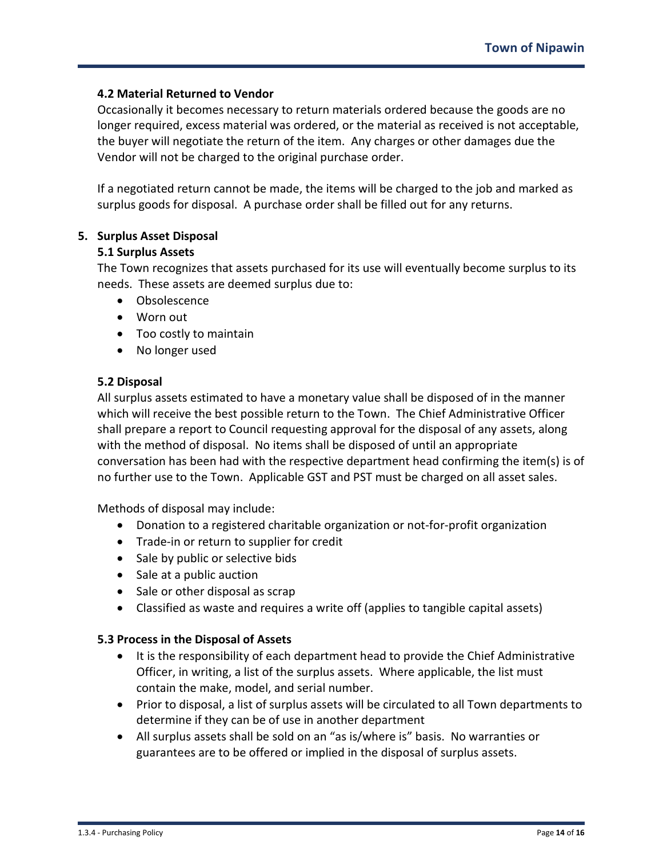#### **4.2 Material Returned to Vendor**

Occasionally it becomes necessary to return materials ordered because the goods are no longer required, excess material was ordered, or the material as received is not acceptable, the buyer will negotiate the return of the item. Any charges or other damages due the Vendor will not be charged to the original purchase order.

If a negotiated return cannot be made, the items will be charged to the job and marked as surplus goods for disposal. A purchase order shall be filled out for any returns.

#### **5. Surplus Asset Disposal**

#### **5.1 Surplus Assets**

The Town recognizes that assets purchased for its use will eventually become surplus to its needs. These assets are deemed surplus due to:

- Obsolescence
- Worn out
- Too costly to maintain
- No longer used

#### **5.2 Disposal**

All surplus assets estimated to have a monetary value shall be disposed of in the manner which will receive the best possible return to the Town. The Chief Administrative Officer shall prepare a report to Council requesting approval for the disposal of any assets, along with the method of disposal. No items shall be disposed of until an appropriate conversation has been had with the respective department head confirming the item(s) is of no further use to the Town. Applicable GST and PST must be charged on all asset sales.

Methods of disposal may include:

- Donation to a registered charitable organization or not-for-profit organization
- Trade-in or return to supplier for credit
- Sale by public or selective bids
- Sale at a public auction
- Sale or other disposal as scrap
- Classified as waste and requires a write off (applies to tangible capital assets)

## **5.3 Process in the Disposal of Assets**

- It is the responsibility of each department head to provide the Chief Administrative Officer, in writing, a list of the surplus assets. Where applicable, the list must contain the make, model, and serial number.
- Prior to disposal, a list of surplus assets will be circulated to all Town departments to determine if they can be of use in another department
- All surplus assets shall be sold on an "as is/where is" basis. No warranties or guarantees are to be offered or implied in the disposal of surplus assets.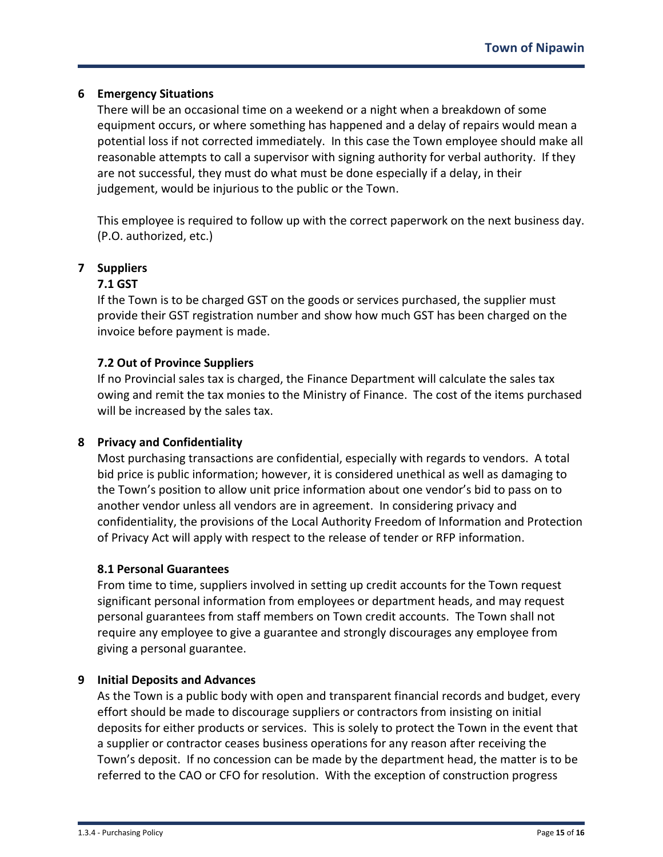## **6 Emergency Situations**

There will be an occasional time on a weekend or a night when a breakdown of some equipment occurs, or where something has happened and a delay of repairs would mean a potential loss if not corrected immediately. In this case the Town employee should make all reasonable attempts to call a supervisor with signing authority for verbal authority. If they are not successful, they must do what must be done especially if a delay, in their judgement, would be injurious to the public or the Town.

This employee is required to follow up with the correct paperwork on the next business day. (P.O. authorized, etc.)

## **7 Suppliers**

#### **7.1 GST**

If the Town is to be charged GST on the goods or services purchased, the supplier must provide their GST registration number and show how much GST has been charged on the invoice before payment is made.

#### **7.2 Out of Province Suppliers**

If no Provincial sales tax is charged, the Finance Department will calculate the sales tax owing and remit the tax monies to the Ministry of Finance. The cost of the items purchased will be increased by the sales tax.

## **8 Privacy and Confidentiality**

Most purchasing transactions are confidential, especially with regards to vendors. A total bid price is public information; however, it is considered unethical as well as damaging to the Town's position to allow unit price information about one vendor's bid to pass on to another vendor unless all vendors are in agreement. In considering privacy and confidentiality, the provisions of the Local Authority Freedom of Information and Protection of Privacy Act will apply with respect to the release of tender or RFP information.

#### **8.1 Personal Guarantees**

From time to time, suppliers involved in setting up credit accounts for the Town request significant personal information from employees or department heads, and may request personal guarantees from staff members on Town credit accounts. The Town shall not require any employee to give a guarantee and strongly discourages any employee from giving a personal guarantee.

#### **9 Initial Deposits and Advances**

As the Town is a public body with open and transparent financial records and budget, every effort should be made to discourage suppliers or contractors from insisting on initial deposits for either products or services. This is solely to protect the Town in the event that a supplier or contractor ceases business operations for any reason after receiving the Town's deposit. If no concession can be made by the department head, the matter is to be referred to the CAO or CFO for resolution. With the exception of construction progress